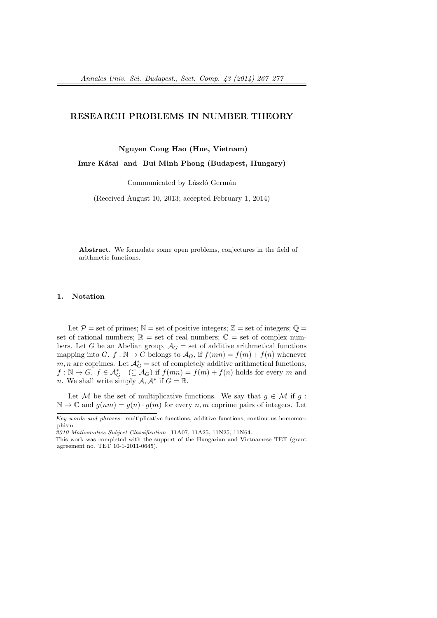# **RESEARCH PROBLEMS IN NUMBER THEORY**

**Nguyen Cong Hao (Hue, Vietnam)**

Imre Kátai and Bui Minh Phong (Budapest, Hungary)

Communicated by László Germán

(Received August 10, 2013; accepted February 1, 2014)

**Abstract.** We formulate some open problems, conjectures in the field of arithmetic functions.

## **1. Notation**

Let  $P =$  set of primes;  $N =$  set of positive integers;  $\mathbb{Z} =$  set of integers;  $\mathbb{Q} =$ set of rational numbers;  $\mathbb{R} =$  set of real numbers;  $\mathbb{C} =$  set of complex numbers. Let *G* be an Abelian group,  $A_G$  = set of additive arithmetical functions mapping into *G*.  $f : \mathbb{N} \to G$  belongs to  $\mathcal{A}_G$ , if  $f(mn) = f(m) + f(n)$  whenever *m*, *n* are coprimes. Let  $\mathcal{A}_G^*$  = set of completely additive arithmetical functions,  $f: \mathbb{N} \to G$ .  $f \in \mathcal{A}_G^*$  ( $\subseteq \mathcal{A}_G$ ) if  $f(mn) = f(m) + f(n)$  holds for every *m* and *n*. We shall write simply  $A, A^*$  if  $G = \mathbb{R}$ .

Let *M* be the set of multiplicative functions. We say that  $g \in M$  if  $g$ :  $\mathbb{N} \to \mathbb{C}$  and  $g(nm) = g(n) \cdot g(m)$  for every *n, m* coprime pairs of integers. Let

*Key words and phrases*: multiplicative functions, additive functions, continuous homomorphism.

*<sup>2010</sup> Mathematics Subject Classification*: 11A07, 11A25, 11N25, 11N64.

This work was completed with the support of the Hungarian and Vietnamese TET (grant agreement no. TET 10-1-2011-0645).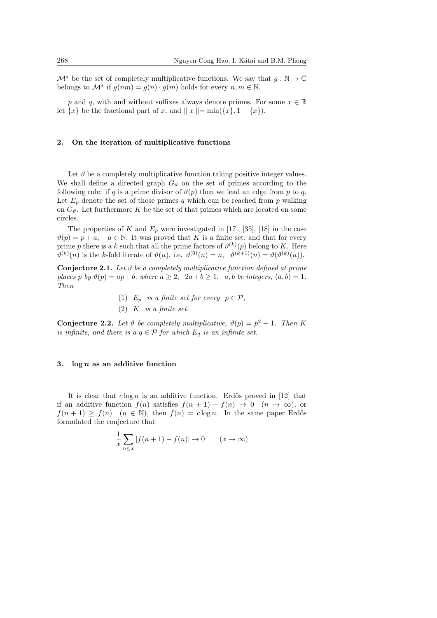$\mathcal{M}^*$  be the set of completely multiplicative functions. We say that  $g : \mathbb{N} \to \mathbb{C}$ belongs to  $\mathcal{M}^*$  if  $g(nm) = g(n) \cdot g(m)$  holds for every  $n, m \in \mathbb{N}$ .

*p* and *q*, with and without suffixes always denote primes. For some  $x \in \mathbb{R}$ let  $\{x\}$  be the fractional part of *x*, and  $\|x\| = \min(\{x\}, 1 - \{x\})$ .

## **2. On the iteration of multiplicative functions**

Let  $\vartheta$  be a completely multiplicative function taking positive integer values. We shall define a directed graph  $G_{\vartheta}$  on the set of primes according to the following rule: if *q* is a prime divisor of  $\vartheta(p)$  then we lead an edge from *p* to *q*. Let  $E_p$  denote the set of those primes q which can be reached from p walking on  $G_{\vartheta}$ . Let furthermore K be the set of that primes which are located on some circles.

The properties of  $K$  and  $E_p$  were investigated in [17], [35], [18] in the case  $\vartheta(p) = p + a$ ,  $a \in \mathbb{N}$ . It was proved that *K* is a finite set, and that for every prime *p* there is a *k* such that all the prime factors of  $\vartheta^{(k)}(p)$  belong to *K*. Here  $\vartheta^{(k)}(n)$  is the *k*-fold iterate of  $\vartheta(n)$ , i.e.  $\vartheta^{(0)}(n) = n$ ,  $\vartheta^{(k+1)}(n) = \vartheta(\vartheta^{(k)}(n))$ .

**Conjecture 2.1.** *Let ϑ be a completely multiplicative function defined at prime places p by*  $\vartheta(p) = ap + b$ *, where*  $a \geq 2$ *,*  $2a + b \geq 1$ *, a, b be integers,*  $(a, b) = 1$ *. Then*

- (1)  $E_p$  *is a finite set for every*  $p \in \mathcal{P}$ ,
- (2) *K is a finite set.*

**Conjecture 2.2.** Let  $\vartheta$  be completely multiplicative,  $\vartheta(p) = p^2 + 1$ . Then K *is infinite, and there is a*  $q \in \mathcal{P}$  *for which*  $E_q$  *is an infinite set.* 

### **3. log** *n* **as an additive function**

It is clear that  $c \log n$  is an additive function. Erdős proved in [12] that if an additive function  $f(n)$  satisfies  $f(n + 1) - f(n) \rightarrow 0$  ( $n \rightarrow \infty$ ), or  $f(n + 1) \ge f(n)$  (*n*  $\in \mathbb{N}$ ), then  $f(n) = c \log n$ . In the same paper Erdős formulated the conjecture that

$$
\frac{1}{x}\sum_{n\leq x}|f(n+1)-f(n)| \to 0 \qquad (x\to\infty)
$$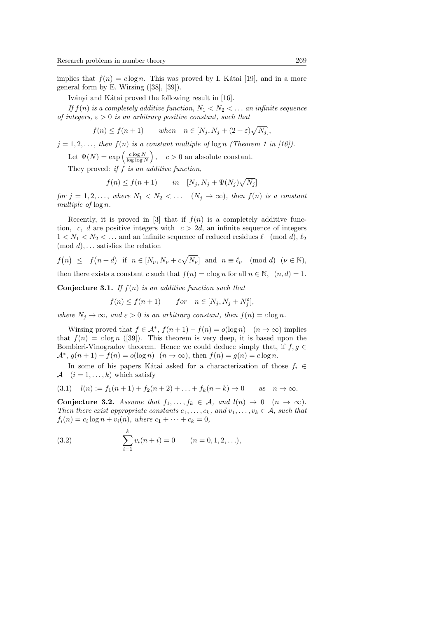implies that  $f(n) = c \log n$ . This was proved by I. Kátai [19], and in a more general form by E. Wirsing ([38], [39]).

Iványi and Kátai proved the following result in [16].

*If*  $f(n)$  *is a completely additive function,*  $N_1 < N_2 < \ldots$  *an infinite sequence of integers, ε >* 0 *is an arbitrary positive constant, such that*

$$
f(n) \le f(n+1) \qquad when \quad n \in [N_j, N_j + (2+\varepsilon)\sqrt{N_j}],
$$

 $j = 1, 2, \ldots$ , then  $f(n)$  is a constant multiple of log *n (Theorem 1 in [16])*.

Let  $\Psi(N) = \exp\left(\frac{c \log N}{\log \log N}\right)$  $\Big)$ ,  $c > 0$  an absolute constant.

They proved: *if f is an additive function,*

$$
f(n) \le f(n+1) \qquad in \quad [N_j, N_j + \Psi(N_j)\sqrt{N_j}]
$$

*for*  $j = 1, 2, \ldots$ , *where*  $N_1 < N_2 < \ldots$   $(N_j \to \infty)$ , *then*  $f(n)$  *is a constant multiple of* log *n.*

Recently, it is proved in [3] that if  $f(n)$  is a completely additive function, *c*, *d* are positive integers with  $c > 2d$ , an infinite sequence of integers  $1 < N_1 < N_2 < \ldots$  and an infinite sequence of reduced residues  $\ell_1 \pmod{d}$ ,  $\ell_2$ (mod *d*)*, . . .* satisfies the relation

$$
f(n) \leq f(n+d)
$$
 if  $n \in [N_{\nu}, N_{\nu} + c\sqrt{N_{\nu}}]$  and  $n \equiv \ell_{\nu}$  (mod d)  $(\nu \in \mathbb{N})$ ,

then there exists a constant *c* such that  $f(n) = c \log n$  for all  $n \in \mathbb{N}$ ,  $(n, d) = 1$ .

**Conjecture 3.1.** *If f*(*n*) *is an additive function such that*

$$
f(n) \le f(n+1) \qquad for \quad n \in [N_j, N_j + N_j^{\varepsilon}],
$$

*where*  $N_j \to \infty$ *, and*  $\varepsilon > 0$  *is an arbitrary constant, then*  $f(n) = c \log n$ *.* 

Wirsing proved that  $f \in \mathcal{A}^*$ ,  $f(n+1) - f(n) = o(\log n)$   $(n \to \infty)$  implies that  $f(n) = c \log n$  ([39]). This theorem is very deep, it is based upon the Bombieri-Vinogradov theorem. Hence we could deduce simply that, if  $f, g \in$  $A^*$ ,  $g(n+1) - f(n) = o(\log n)$   $(n \to \infty)$ , then  $f(n) = g(n) = c \log n$ .

In some of his papers Kátai asked for a characterization of those  $f_i$  ∈ *A*  $(i = 1, \ldots, k)$  which satisfy

$$
(3.1) \quad l(n) := f_1(n+1) + f_2(n+2) + \ldots + f_k(n+k) \to 0 \quad \text{as} \quad n \to \infty.
$$

**Conjecture 3.2.** *Assume that*  $f_1, \ldots, f_k \in A$ *, and*  $l(n) \to 0 \quad (n \to \infty)$ *. Then there exist appropriate constants*  $c_1, \ldots, c_k$ *, and*  $v_1, \ldots, v_k \in A$ *, such that*  $f_i(n) = c_i \log n + v_i(n)$ , where  $c_1 + \cdots + c_k = 0$ ,

(3.2) 
$$
\sum_{i=1}^{k} v_i(n+i) = 0 \qquad (n = 0, 1, 2, ...),
$$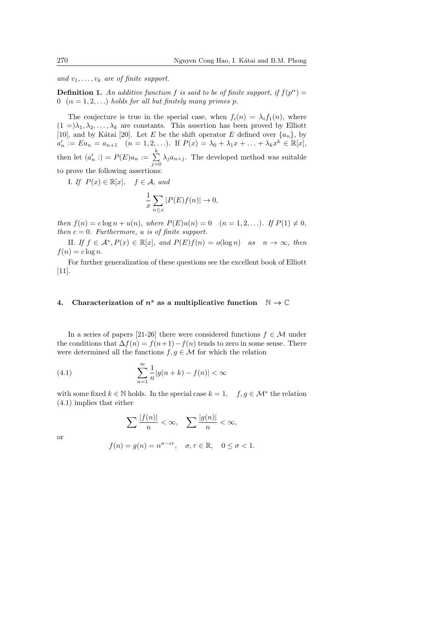*and*  $v_1, \ldots, v_k$  *are of finite support.* 

**Definition 1.** An additive function f is said to be of finite support, if  $f(p^{\alpha}) =$ 0  $(\alpha = 1, 2, \ldots)$  *holds for all but finitely many primes p.* 

The conjecture is true in the special case, when  $f_i(n) = \lambda_i f_1(n)$ , where  $(1 =) \lambda_1, \lambda_2, \ldots, \lambda_k$  are constants. This assertion has been proved by Elliott [10], and by Kátai [20]. Let *E* be the shift operator *E* defined over  $\{a_n\}$ , by  $a'_n := Ea_n = a_{n+1}$   $(n = 1, 2, \ldots)$ . If  $P(x) = \lambda_0 + \lambda_1 x + \ldots + \lambda_k x^k \in \mathbb{R}[x]$ , then let  $(a'_n) = P(E)a_n := \sum_{n=1}^{k} a_n$  $\sum_{j=0} \lambda_j a_{n+j}$ . The developed method was suitable to prove the following assertions:

*I. If*  $P(x) \in \mathbb{R}[x]$ ,  $f \in \mathcal{A}$ , and

$$
\frac{1}{x}\sum_{n\leq x}|P(E)f(n)|\to 0,
$$

*then*  $f(n) = c \log n + u(n)$ *, where*  $P(E)u(n) = 0$   $(n = 1, 2, ...)$ *. If*  $P(1) \neq 0$ *, then*  $c = 0$ *. Furthermore,*  $u$  *is of finite support.* 

II. *If*  $f \in \mathcal{A}^*, P(x) \in \mathbb{R}[x]$ , and  $P(E)f(n) = o(\log n)$  as  $n \to \infty$ , then  $f(n) = c \log n$ .

For further generalization of these questions see the excellent book of Elliott [11].

# **4.** Characterization of  $n^s$  as a multiplicative function  $\mathbb{N} \to \mathbb{C}$

In a series of papers [21-26] there were considered functions  $f \in \mathcal{M}$  under the conditions that  $\Delta f(n) = f(n+1) - f(n)$  tends to zero in some sense. There were determined all the functions  $f, g \in \mathcal{M}$  for which the relation

(4.1) 
$$
\sum_{n=1}^{\infty} \frac{1}{n} |g(n+k) - f(n)| < \infty
$$

with some fixed  $k \in \mathbb{N}$  holds. In the special case  $k = 1$ ,  $f, g \in \mathcal{M}^*$  the relation (4.1) implies that either

$$
\sum \frac{|f(n)|}{n} < \infty, \quad \sum \frac{|g(n)|}{n} < \infty,
$$

or

$$
f(n)=g(n)=n^{\sigma-i\tau},\quad \sigma,\tau\in\mathbb{R},\quad 0\leq\sigma<1.
$$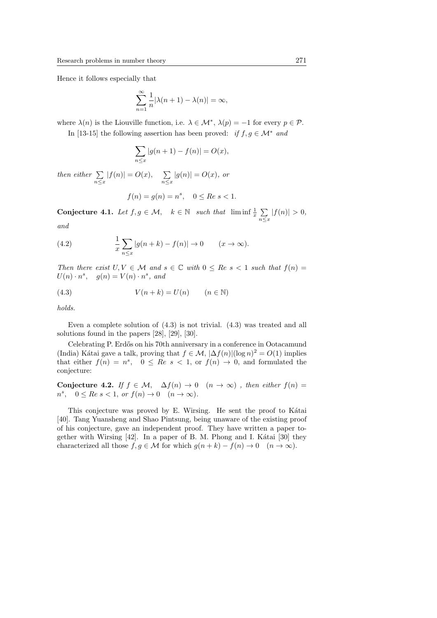Hence it follows especially that

$$
\sum_{n=1}^{\infty} \frac{1}{n} |\lambda(n+1) - \lambda(n)| = \infty,
$$

where  $\lambda(n)$  is the Liouville function, i.e.  $\lambda \in \mathcal{M}^*$ ,  $\lambda(p) = -1$  for every  $p \in \mathcal{P}$ .

In [13-15] the following assertion has been proved: *if*  $f, g \in \mathcal{M}^*$  *and* 

$$
\sum_{n \le x} |g(n + 1) - f(n)| = O(x),
$$

*then either* ∑ *n≤x*  $|f(n)| = O(x),$  ∑ *n≤x*  $|g(n)| = O(x)$ , or

$$
f(n) = g(n) = n^s, \quad 0 \le Re \ s < 1.
$$

**Conjecture 4.1.** *Let*  $f, g \in \mathcal{M}$ ,  $k \in \mathbb{N}$  *such that*  $\liminf \frac{1}{x} \sum$ *n≤x*  $|f(n)| > 0,$ 

*and*

(4.2) 
$$
\frac{1}{x} \sum_{n \le x} |g(n+k) - f(n)| \to 0 \qquad (x \to \infty).
$$

*Then there exist*  $U, V \in \mathcal{M}$  *and*  $s \in \mathbb{C}$  *with*  $0 \leq Re \ s < 1$  *such that*  $f(n) =$  $U(n) \cdot n^s$ ,  $g(n) = V(n) \cdot n^s$ , and

(4.3) 
$$
V(n+k) = U(n) \qquad (n \in \mathbb{N})
$$

*holds.*

Even a complete solution of (4.3) is not trivial. (4.3) was treated and all solutions found in the papers [28], [29], [30].

Celebrating P. Erdős on his 70th anniversary in a conference in Ootacamund (India) Kátai gave a talk, proving that  $f \in \mathcal{M}$ ,  $|\Delta f(n)| (\log n)^2 = O(1)$  implies that either  $f(n) = n^s$ ,  $0 \leq Re \ s < 1$ , or  $f(n) \to 0$ , and formulated the conjecture:

**Conjecture 4.2.** *If*  $f \in M$ ,  $\Delta f(n) \rightarrow 0$   $(n \rightarrow \infty)$ , then either  $f(n) =$  $n^s$ ,  $0 \leq Re \ s < 1$ ,  $or \ f(n) \to 0 \ (n \to \infty)$ .

This conjecture was proved by E. Wirsing. He sent the proof to Kátai [40]. Tang Yuansheng and Shao Pintsung, being unaware of the existing proof of his conjecture, gave an independent proof. They have written a paper together with Wirsing [42]. In a paper of B. M. Phong and I. Kátai [30] they characterized all those  $f, g \in \mathcal{M}$  for which  $g(n+k) - f(n) \to 0$  ( $n \to \infty$ ).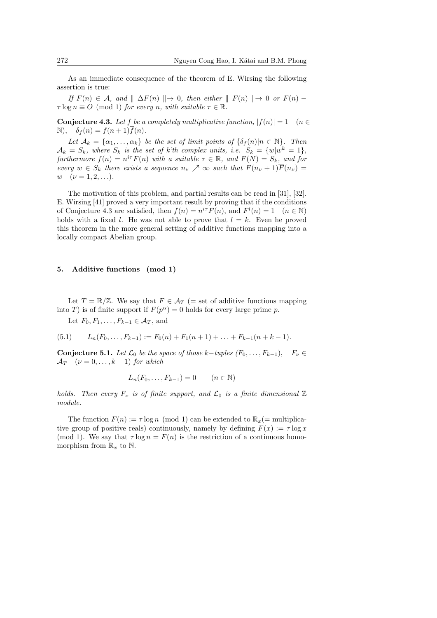As an immediate consequence of the theorem of E. Wirsing the following assertion is true:

*If*  $F(n) \in \mathcal{A}$ , and  $\parallel \Delta F(n) \parallel \rightarrow 0$ , then either  $\parallel F(n) \parallel \rightarrow 0$  or  $F(n)$  −  $\tau \log n \equiv O \pmod{1}$  *for every n, with suitable*  $\tau \in \mathbb{R}$ *.* 

**Conjecture 4.3.** Let *f* be a completely multiplicative function,  $|f(n)| = 1$  (*n*  $\in$  $\mathbb{N}$ ,  $\delta_f(n) = f(n+1)f(n)$ .

*Let*  $A_k = \{a_1, \ldots, a_k\}$  *be the set of limit points of*  $\{\delta_f(n)|n \in \mathbb{N}\}\$ *. Then*  $\mathcal{A}_k = S_k$ *, where*  $S_k$  *is the set of k'th complex units, i.e.*  $S_k = \{w | w^k = 1\}$ *, furthermore*  $f(n) = n^{i\tau} F(n)$  *with a suitable*  $\tau \in \mathbb{R}$ *, and*  $F(N) = S_k$ *, and for every*  $w \in S_k$  *there exists a sequence*  $n_{\nu} \nearrow \infty$  *such that*  $F(n_{\nu} + 1)\overline{F}(n_{\nu}) =$  $w \quad (\nu = 1, 2, \ldots).$ 

The motivation of this problem, and partial results can be read in [31], [32]. E. Wirsing [41] proved a very important result by proving that if the conditions of Conjecture 4.3 are satisfied, then  $f(n) = n^{i\tau} F(n)$ , and  $F^l(n) = 1 \quad (n \in \mathbb{N})$ holds with a fixed *l*. He was not able to prove that  $l = k$ . Even he proved this theorem in the more general setting of additive functions mapping into a locally compact Abelian group.

#### **5. Additive functions (mod 1)**

Let  $T = \mathbb{R}/\mathbb{Z}$ . We say that  $F \in \mathcal{A}_T$  (= set of additive functions mapping into *T*) is of finite support if  $F(p^{\alpha}) = 0$  holds for every large prime *p*.

Let  $F_0, F_1, \ldots, F_{k-1} \in \mathcal{A}_T$ , and

$$
(5.1) \qquad L_n(F_0,\ldots,F_{k-1}) := F_0(n) + F_1(n+1) + \ldots + F_{k-1}(n+k-1).
$$

**Conjecture 5.1.** *Let*  $\mathcal{L}_0$  *be the space of those*  $k$ *−tuples*  $(F_0, \ldots, F_{k-1}), \quad F_\nu \in$  $\mathcal{A}_T$  ( $\nu = 0, \ldots, k-1$ ) *for which* 

$$
L_n(F_0,\ldots,F_{k-1})=0 \qquad (n\in\mathbb{N})
$$

*holds.* Then every  $F_\nu$  is of finite support, and  $\mathcal{L}_0$  is a finite dimensional  $\mathbb{Z}$ *module.*

The function  $F(n) := \tau \log n \pmod{1}$  can be extended to  $\mathbb{R}_x$  (= multiplicative group of positive reals) continuously, namely by defining  $F(x) := \tau \log x$ (mod 1). We say that  $\tau \log n = F(n)$  is the restriction of a continuous homomorphism from  $\mathbb{R}_x$  to  $\mathbb{N}$ .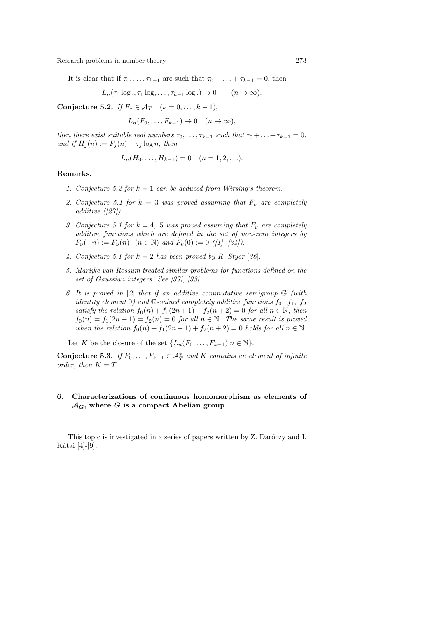It is clear that if  $\tau_0, \ldots, \tau_{k-1}$  are such that  $\tau_0 + \ldots + \tau_{k-1} = 0$ , then

 $L_n(\tau_0 \log \tau, \tau_1 \log \tau, \ldots, \tau_{k-1} \log \tau) \to 0$  (*n*  $\to \infty)$ ).

**Conjecture 5.2.** *If*  $F_{\nu} \in A_T$  ( $\nu = 0, ..., k - 1$ )*,* 

 $L_n(F_0, \ldots, F_{k-1}) \to 0 \quad (n \to \infty)$ ,

*then there exist suitable real numbers*  $\tau_0, \ldots, \tau_{k-1}$  *such that*  $\tau_0 + \ldots + \tau_{k-1} = 0$ *,*  $and if H_j(n) := F_j(n) - \tau_j \log n, then$ 

$$
L_n(H_0,\ldots,H_{k-1})=0
$$
  $(n=1,2,\ldots).$ 

## **Remarks.**

- *1. Conjecture 5.2 for*  $k = 1$  *can be deduced from Wirsing's theorem.*
- 2. Conjecture 5.1 for  $k = 3$  was proved assuming that  $F_\nu$  are completely *additive ([27]).*
- *3. Conjecture 5.1 for*  $k = 4$ , 5 *was proved assuming that*  $F_\nu$  *are completely additive functions which are defined in the set of non-zero integers by*  $F_\nu(-n) := F_\nu(n) \quad (n \in \mathbb{N}) \text{ and } F_\nu(0) := 0 \quad (11, 34).$
- 4. Conjecture 5.1 for  $k = 2$  has been proved by R. Styer [36].
- *5. Marijke van Rossum treated similar problems for functions defined on the set of Gaussian integers. See [37], [33].*
- *6. It is proved in* [*2*] *that if an additive commutative semigroup* G *(with identity element* 0*)* and G-valued completely additive functions  $f_0$ ,  $f_1$ ,  $f_2$ *satisfy the relation*  $f_0(n) + f_1(2n + 1) + f_2(n + 2) = 0$  *for all*  $n \in \mathbb{N}$ *, then*  $f_0(n) = f_1(2n + 1) = f_2(n) = 0$  *for all*  $n \in \mathbb{N}$ *. The same result is proved when the relation*  $f_0(n) + f_1(2n-1) + f_2(n+2) = 0$  *holds for all*  $n \in \mathbb{N}$ .

Let *K* be the closure of the set  $\{L_n(F_0, \ldots, F_{k-1}) | n \in \mathbb{N}\}.$ 

**Conjecture 5.3.** *If*  $F_0, \ldots, F_{k-1} \in A_T^*$  and  $K$  *contains an element of infinite order, then*  $K = T$ .

# **6. Characterizations of continuous homomorphism as elements of** *AG***, where** *G* **is a compact Abelian group**

This topic is investigated in a series of papers written by Z. Daróczy and I. Kátai  $[4]-[9]$ .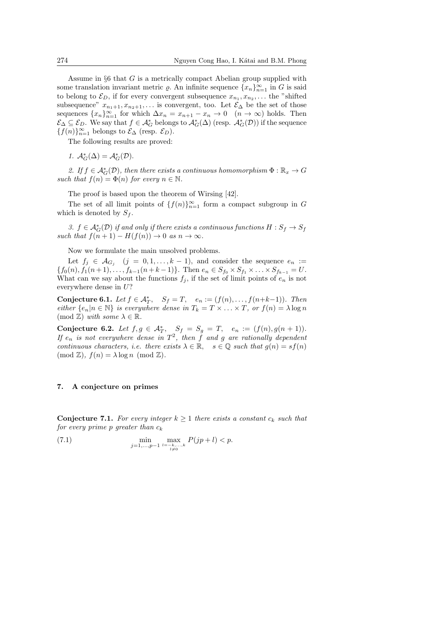Assume in *§*6 that *G* is a metrically compact Abelian group supplied with some translation invariant metric  $\varrho$ . An infinite sequence  $\{x_n\}_{n=1}^{\infty}$  in *G* is said to belong to  $\mathcal{E}_D$ , if for every convergent subsequence  $x_{n_1}, x_{n_2}, \ldots$  the "shifted" subsequence"  $x_{n_1+1}, x_{n_2+1}, \ldots$  is convergent, too. Let  $\mathcal{E}_{\Delta}$  be the set of those sequences  $\{x_n\}_{n=1}^{\infty}$  for which  $\Delta x_n = x_{n+1} - x_n \to 0 \quad (n \to \infty)$  holds. Then  $\mathcal{E}_{\Delta} \subseteq \mathcal{E}_D$ . We say that  $f \in \mathcal{A}_G^*$  belongs to  $\mathcal{A}_G^*(\Delta)$  (resp.  $\mathcal{A}_G^*(\mathcal{D})$ ) if the sequence  ${f(n)}_{n=1}^{\infty}$  belongs to  $\mathcal{E}_{\Delta}$  (resp.  $\mathcal{E}_{D}$ ).

The following results are proved:

*1.*  $\mathcal{A}_G^*(\Delta) = \mathcal{A}_G^*(\mathcal{D})$ .

2. If  $f \in \mathcal{A}_G^*(\mathcal{D})$ , then there exists a continuous homomorphism  $\Phi : \mathbb{R}_x \to G$ *such that*  $f(n) = \Phi(n)$  *for every*  $n \in \mathbb{N}$ *.* 

The proof is based upon the theorem of Wirsing [42].

The set of all limit points of  $\{f(n)\}_{n=1}^{\infty}$  form a compact subgroup in *G* which is denoted by  $S_f$ .

*3.*  $f \in \mathcal{A}_G^*(\mathcal{D})$  *if and only if there exists a continuous functions*  $H : S_f \to S_f$  $such that f(n+1) - H(f(n)) \to 0 \text{ as } n \to \infty.$ 

Now we formulate the main unsolved problems.

Let  $f_j \in \mathcal{A}_{G_j}$   $(j = 0, 1, \ldots, k-1)$ , and consider the sequence  $e_n :=$  $\{f_0(n), f_1(n+1), \ldots, f_{k-1}(n+k-1)\}.$  Then  $e_n \in S_{f_0} \times S_{f_1} \times \ldots \times S_{f_{k-1}} = U.$ What can we say about the functions  $f_i$ , if the set of limit points of  $e_n$  is not everywhere dense in *U*?

**Conjecture 6.1.** *Let*  $f \in A_T^*$ ,  $S_f = T$ ,  $e_n := (f(n), \ldots, f(n+k-1))$ *. Then* either  $\{e_n|n \in \mathbb{N}\}\$ is everywhere dense in  $T_k = T \times \ldots \times T$ , or  $f(n) = \lambda \log n$  $(mod \mathbb{Z})$  *with some*  $\lambda \in \mathbb{R}$ .

**Conjecture 6.2.** Let  $f, g \in A_T^*$ ,  $S_f = S_g = T$ ,  $e_n := (f(n), g(n+1))$ . *If*  $e_n$  *is not everywhere dense in*  $T^2$ , *then*  $\tilde{f}$  *and*  $g$  *are rationally dependent continuous characters, i.e. there exists*  $\lambda \in \mathbb{R}$ ,  $s \in \mathbb{Q}$  *such that*  $g(n) = sf(n)$  $p(\text{mod } \mathbb{Z})$ ,  $f(n) = \lambda \log n \pmod{\mathbb{Z}}$ .

#### **7. A conjecture on primes**

**Conjecture 7.1.** For every integer  $k \geq 1$  there exists a constant  $c_k$  such that *for every prime p greater than c<sup>k</sup>*

(7.1)  $\min_{j=1,...,p-1} \max_{\substack{l=-k,...,k \\ l \neq 0}}$  $P(jp + l) < p$ .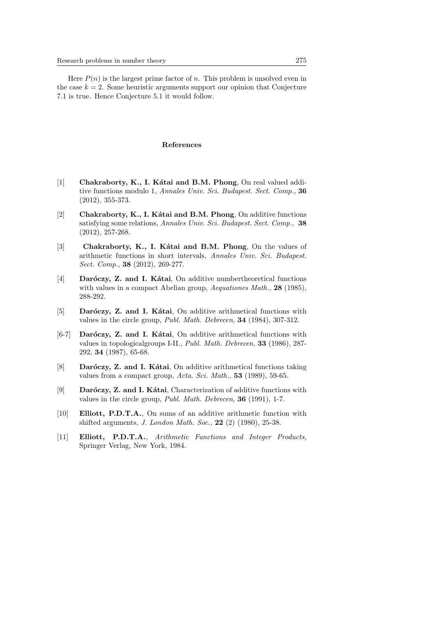Here  $P(n)$  is the largest prime factor of *n*. This problem is unsolved even in the case  $k = 2$ . Some heuristic arguments support our opinion that Conjecture 7.1 is true. Hence Conjecture 5.1 it would follow.

# **References**

- [1] **Chakraborty, K., I. Kátai and B.M. Phong**, On real valued additive functions modulo 1, *Annales Univ. Sci. Budapest. Sect. Comp.*, **36** (2012), 355-373.
- [2] **Chakraborty, K., I. Kátai and B.M. Phong**, On additive functions satisfying some relations, *Annales Univ. Sci. Budapest. Sect. Comp.*, **38** (2012), 257-268.
- [3] **Chakraborty, K., I. Katai and B.M. Phong**, On the values of arithmetic functions in short intervals, *Annales Univ. Sci. Budapest. Sect. Comp.*, **38** (2012), 269-277.
- [4] **Daróczy, Z. and I. Kátai**, On additive numbertheoretical functions with values in a compact Abelian group, *Aequationes Math.,* **28** (1985), 288-292.
- [5] **Daróczy, Z. and I. Kátai**, On additive arithmetical functions with values in the circle group, *Publ. Math. Debrecen,* **34** (1984), 307-312.
- [6-7] **Daróczy, Z. and I. Kátai**, On additive arithmetical functions with values in topologicalgroups I-II., *Publ. Math. Debrecen,* **33** (1986), 287- 292, **34** (1987), 65-68.
- [8] **Daróczy, Z. and I. Kátai**, On additive arithmetical functions taking values from a compact group, *Acta. Sci. Math.,* **53** (1989), 59-65.
- [9] **Daróczy, Z. and I. Kátai**, Characterization of additive functions with values in the circle group, *Publ. Math. Debrecen,* **36** (1991), 1-7.
- [10] **Elliott, P.D.T.A.**, On sums of an additive arithmetic function with shifted arguments, *J. London Math. Soc.,* **22** (2) (1980), 25-38.
- [11] **Elliott, P.D.T.A.**, *Arithmetic Functions and Integer Products,* Springer Verlag, New York, 1984.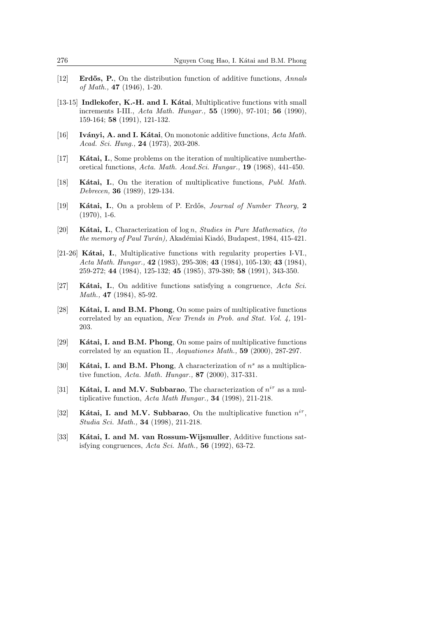- [12] **Erd˝os, P.**, On the distribution function of additive functions, *Annals of Math.,* **47** (1946), 1-20.
- [13-15] **Indlekofer, K.-H. and I. Kátai**, Multiplicative functions with small increments I-III., *Acta Math. Hungar.,* **55** (1990), 97-101; **56** (1990), 159-164; **58** (1991), 121-132.
- [16] **Iványi, A. and I. Kátai**, On monotonic additive functions, *Acta Math. Acad. Sci. Hung.,* **24** (1973), 203-208.
- [17] **K´atai, I.**, Some problems on the iteration of multiplicative numbertheoretical functions, *Acta. Math. Acad.Sci. Hungar.,* **19** (1968), 441-450.
- [18] **K´atai, I.**, On the iteration of multiplicative functions, *Publ. Math. Debrecen,* **36** (1989), 129-134.
- [19] **K´atai, I.**, On a problem of P. Erd˝os, *Journal of Number Theory,* **2**  $(1970), 1-6.$
- [20] **K´atai, I.**, Characterization of log *n*, *Studies in Pure Mathematics, (to the memory of Paul Turán)*, Akadémiai Kiadó, Budapest, 1984, 415-421.
- [21-26] **Kátai, I.**, Multiplicative functions with regularity properties I-VI., *Acta Math. Hungar.,* **42** (1983), 295-308; **43** (1984), 105-130; **43** (1984), 259-272; **44** (1984), 125-132; **45** (1985), 379-380; **58** (1991), 343-350.
- [27] **K´atai, I.**, On additive functions satisfying a congruence, *Acta Sci. Math.,* **47** (1984), 85-92.
- [28] **Kátai, I. and B.M. Phong**, On some pairs of multiplicative functions correlated by an equation, *New Trends in Prob. and Stat. Vol. 4,* 191- 203.
- [29] **Kátai, I. and B.M. Phong**, On some pairs of multiplicative functions correlated by an equation II., *Aequationes Math.,* **59** (2000), 287-297.
- [30] **Kátai, I. and B.M. Phong**, A characterization of  $n<sup>s</sup>$  as a multiplicative function, *Acta. Math. Hungar.,* **87** (2000), 317-331.
- [31] **Kátai, I. and M.V. Subbarao**, The characterization of  $n^{i\tau}$  as a multiplicative function, *Acta Math Hungar.,* **34** (1998), 211-218.
- [32] **Kátai, I. and M.V. Subbarao**, On the multiplicative function  $n^{ir}$ , *Studia Sci. Math.,* **34** (1998), 211-218.
- [33] **Kátai, I. and M. van Rossum-Wijsmuller**, Additive functions satisfying congruences, *Acta Sci. Math.,* **56** (1992), 63-72.